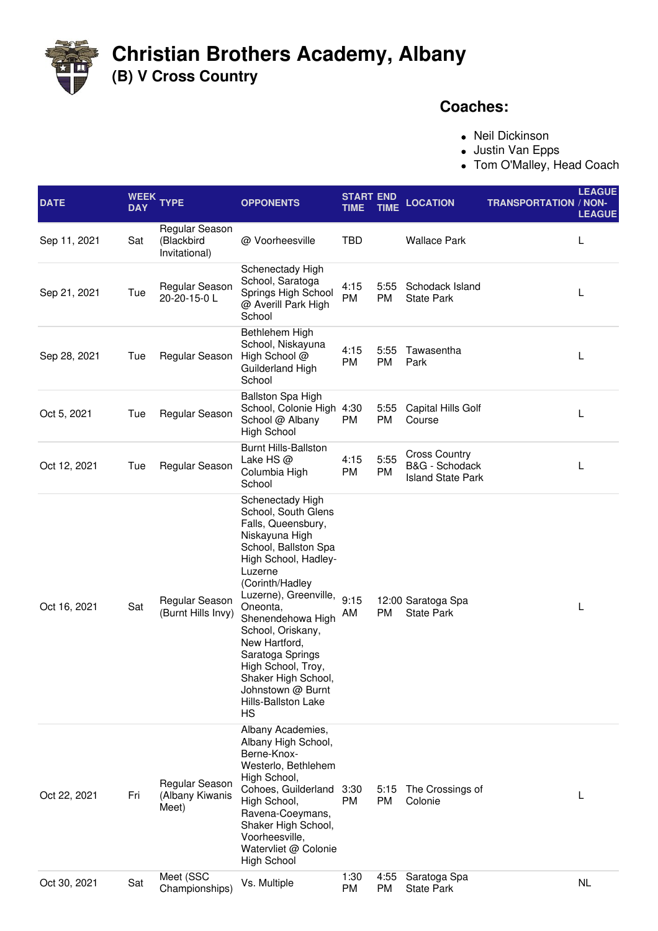

## **Christian Brothers Academy, Albany (B) V Cross Country**

## **Coaches:**

Neil Dickinson

- Justin Van Epps
- Tom O'Malley, Head Coach

| <b>DATE</b>  | <b>WEEK</b><br><b>DAY</b> | <b>TYPE</b>                                   | <b>OPPONENTS</b>                                                                                                                                                                                                                                                                                                                                                                        | <b>START END</b><br>TIME | TIME              | <b>LOCATION</b>                                                    | <b>TRANSPORTATION / NON-</b> | <b>LEAGUE</b><br><b>LEAGUE</b> |
|--------------|---------------------------|-----------------------------------------------|-----------------------------------------------------------------------------------------------------------------------------------------------------------------------------------------------------------------------------------------------------------------------------------------------------------------------------------------------------------------------------------------|--------------------------|-------------------|--------------------------------------------------------------------|------------------------------|--------------------------------|
| Sep 11, 2021 | Sat                       | Regular Season<br>(Blackbird<br>Invitational) | @ Voorheesville                                                                                                                                                                                                                                                                                                                                                                         | TBD                      |                   | <b>Wallace Park</b>                                                |                              | L                              |
| Sep 21, 2021 | Tue                       | Regular Season<br>20-20-15-0L                 | Schenectady High<br>School, Saratoga<br>Springs High School<br>@ Averill Park High<br>School                                                                                                                                                                                                                                                                                            | 4:15<br>PM               | 5:55<br><b>PM</b> | Schodack Island<br><b>State Park</b>                               |                              | L                              |
| Sep 28, 2021 | Tue                       | Regular Season                                | Bethlehem High<br>School, Niskayuna<br>High School @<br>Guilderland High<br>School                                                                                                                                                                                                                                                                                                      | 4:15<br>PM               | 5:55<br><b>PM</b> | Tawasentha<br>Park                                                 |                              | L                              |
| Oct 5, 2021  | Tue                       | Regular Season                                | Ballston Spa High<br>School, Colonie High 4:30<br>School @ Albany<br><b>High School</b>                                                                                                                                                                                                                                                                                                 | PM                       | 5:55<br>PM        | <b>Capital Hills Golf</b><br>Course                                |                              | L                              |
| Oct 12, 2021 | Tue                       | Regular Season                                | <b>Burnt Hills-Ballston</b><br>Lake HS $@$<br>Columbia High<br>School                                                                                                                                                                                                                                                                                                                   | 4:15<br>PM               | 5:55<br>PM        | <b>Cross Country</b><br>B&G - Schodack<br><b>Island State Park</b> |                              | L                              |
| Oct 16, 2021 | Sat                       | Regular Season<br>(Burnt Hills Invy)          | Schenectady High<br>School, South Glens<br>Falls, Queensbury,<br>Niskayuna High<br>School, Ballston Spa<br>High School, Hadley-<br>Luzerne<br>(Corinth/Hadley<br>Luzerne), Greenville,<br>Oneonta,<br>Shenendehowa High<br>School, Oriskany,<br>New Hartford,<br>Saratoga Springs<br>High School, Troy,<br>Shaker High School,<br>Johnstown @ Burnt<br><b>Hills-Ballston Lake</b><br>HS | 9:15<br>AM               | PM                | 12:00 Saratoga Spa<br><b>State Park</b>                            |                              | L                              |
| Oct 22, 2021 | Fri                       | Regular Season<br>(Albany Kiwanis<br>Meet)    | Albany Academies,<br>Albany High School,<br>Berne-Knox-<br>Westerlo, Bethlehem<br>High School,<br>Cohoes, Guilderland<br>High School,<br>Ravena-Coeymans,<br>Shaker High School,<br>Voorheesville,<br>Watervliet @ Colonie<br><b>High School</b>                                                                                                                                        | 3:30<br><b>PM</b>        | 5:15<br><b>PM</b> | The Crossings of<br>Colonie                                        |                              | L                              |
| Oct 30, 2021 | Sat                       | Meet (SSC<br>Championships)                   | Vs. Multiple                                                                                                                                                                                                                                                                                                                                                                            | 1:30<br>PM               | 4:55<br>PM        | Saratoga Spa<br><b>State Park</b>                                  |                              | NL                             |